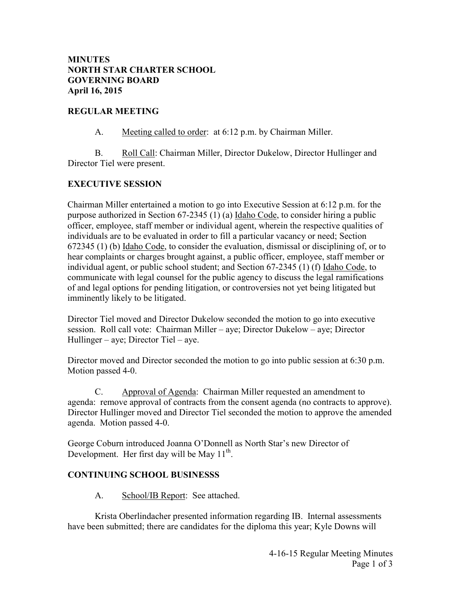#### **MINUTES NORTH STAR CHARTER SCHOOL GOVERNING BOARD April 16, 2015**

#### **REGULAR MEETING**

A. Meeting called to order: at 6:12 p.m. by Chairman Miller.

 B. Roll Call: Chairman Miller, Director Dukelow, Director Hullinger and Director Tiel were present.

#### **EXECUTIVE SESSION**

Chairman Miller entertained a motion to go into Executive Session at 6:12 p.m. for the purpose authorized in Section 67-2345 (1) (a) Idaho Code, to consider hiring a public officer, employee, staff member or individual agent, wherein the respective qualities of individuals are to be evaluated in order to fill a particular vacancy or need; Section 672345 (1) (b) Idaho Code, to consider the evaluation, dismissal or disciplining of, or to hear complaints or charges brought against, a public officer, employee, staff member or individual agent, or public school student; and Section 67-2345 (1) (f) Idaho Code, to communicate with legal counsel for the public agency to discuss the legal ramifications of and legal options for pending litigation, or controversies not yet being litigated but imminently likely to be litigated.

Director Tiel moved and Director Dukelow seconded the motion to go into executive session. Roll call vote: Chairman Miller – aye; Director Dukelow – aye; Director Hullinger – aye; Director Tiel – aye.

Director moved and Director seconded the motion to go into public session at 6:30 p.m. Motion passed 4-0.

 C. Approval of Agenda: Chairman Miller requested an amendment to agenda: remove approval of contracts from the consent agenda (no contracts to approve). Director Hullinger moved and Director Tiel seconded the motion to approve the amended agenda. Motion passed 4-0.

George Coburn introduced Joanna O'Donnell as North Star's new Director of Development. Her first day will be May  $11^{th}$ .

#### **CONTINUING SCHOOL BUSINESSS**

A. School/IB Report: See attached.

 Krista Oberlindacher presented information regarding IB. Internal assessments have been submitted; there are candidates for the diploma this year; Kyle Downs will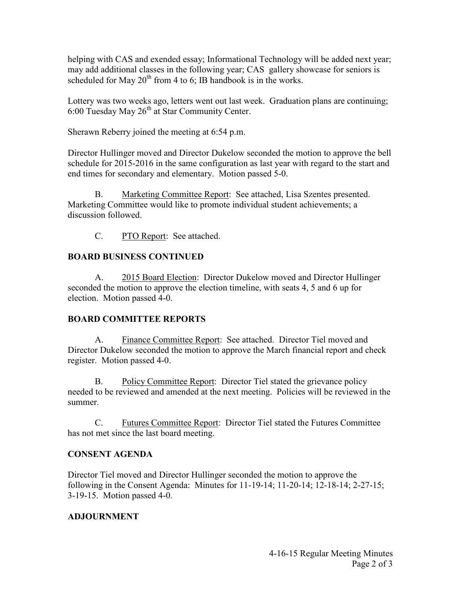helping with CAS and exended essay; Informational Technology will be added next year; may add additional classes in the following year; CAS gallery showcase for seniors is scheduled for May  $20<sup>th</sup>$  from 4 to 6; IB handbook is in the works.

Lottery was two weeks ago, letters went out last week. Graduation plans are continuing;  $6:00$  Tuesday May  $26<sup>th</sup>$  at Star Community Center.

Sherawn Reberry joined the meeting at 6:54 p.m.

Director Hullinger moved and Director Dukelow seconded the motion to approve the bell schedule for 2015-2016 in the same configuration as last year with regard to the start and end times for secondary and elementary. Motion passed 5-0.

 B. Marketing Committee Report: See attached, Lisa Szentes presented. Marketing Committee would like to promote individual student achievements; a discussion followed.

C. PTO Report: See attached.

## **BOARD BUSINESS CONTINUED**

 A. 2015 Board Election: Director Dukelow moved and Director Hullinger seconded the motion to approve the election timeline, with seats 4, 5 and 6 up for election. Motion passed 4-0.

## **BOARD COMMITTEE REPORTS**

 A. Finance Committee Report: See attached. Director Tiel moved and Director Dukelow seconded the motion to approve the March financial report and check register. Motion passed 4-0.

 B. Policy Committee Report: Director Tiel stated the grievance policy needed to be reviewed and amended at the next meeting. Policies will be reviewed in the summer.

 C. Futures Committee Report: Director Tiel stated the Futures Committee has not met since the last board meeting.

## **CONSENT AGENDA**

Director Tiel moved and Director Hullinger seconded the motion to approve the following in the Consent Agenda: Minutes for 11-19-14; 11-20-14; 12-18-14; 2-27-15; 3-19-15. Motion passed 4-0.

# **ADJOURNMENT**